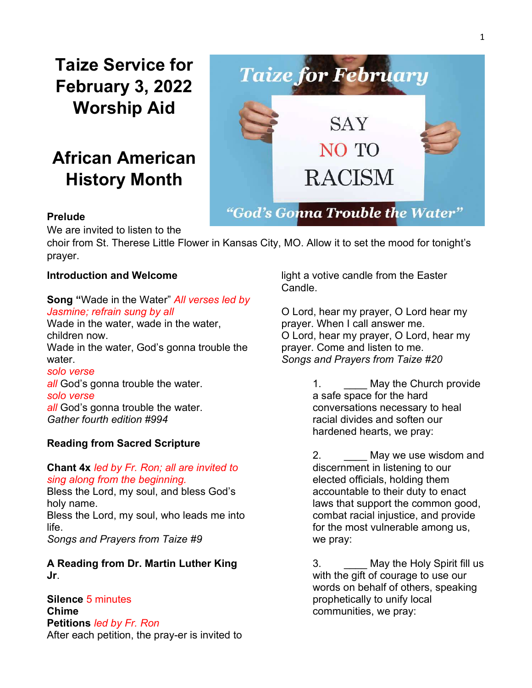Taize Service for February 3, 2022 Worship Aid

# African American History Month



#### Prelude

We are invited to listen to the

choir from St. Therese Little Flower in Kansas City, MO. Allow it to set the mood for tonight's prayer.

#### Introduction and Welcome

#### Song "Wade in the Water" All verses led by Jasmine; refrain sung by all

Wade in the water, wade in the water, children now. Wade in the water, God's gonna trouble the water.

solo verse all God's gonna trouble the water. solo verse all God's gonna trouble the water. Gather fourth edition #994

## Reading from Sacred Scripture

### Chant 4x led by Fr. Ron; all are invited to sing along from the beginning.

Bless the Lord, my soul, and bless God's holy name. Bless the Lord, my soul, who leads me into life. Songs and Prayers from Taize #9

A Reading from Dr. Martin Luther King Jr.

Silence 5 minutes Chime Petitions led by Fr. Ron After each petition, the pray-er is invited to light a votive candle from the Easter Candle.

O Lord, hear my prayer, O Lord hear my prayer. When I call answer me. O Lord, hear my prayer, O Lord, hear my prayer. Come and listen to me. Songs and Prayers from Taize #20

> 1. **May the Church provide** a safe space for the hard conversations necessary to heal racial divides and soften our hardened hearts, we pray:

2. \_\_\_\_ May we use wisdom and discernment in listening to our elected officials, holding them accountable to their duty to enact laws that support the common good, combat racial injustice, and provide for the most vulnerable among us, we pray:

3. **May the Holy Spirit fill us** with the gift of courage to use our words on behalf of others, speaking prophetically to unify local communities, we pray: